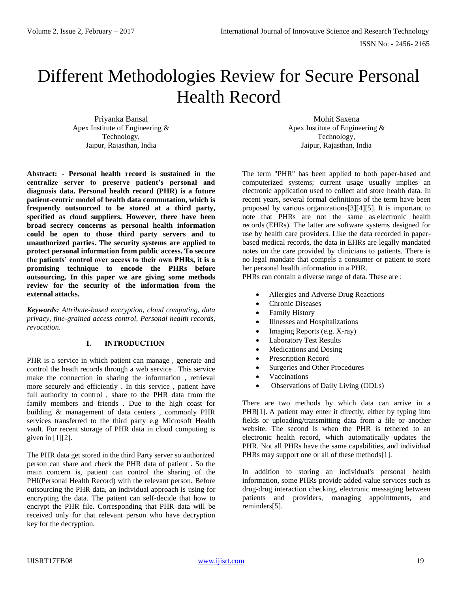# Different Methodologies Review for Secure Personal Health Record

Priyanka Bansal Apex Institute of Engineering & Technology, Jaipur, Rajasthan, India

**Abstract: - Personal health record is sustained in the centralize server to preserve patient's personal and diagnosis data. Personal health record (PHR) is a future patient-centric model of health data commutation, which is frequently outsourced to be stored at a third party, specified as cloud suppliers. However, there have been broad secrecy concerns as personal health information could be open to those third party servers and to unauthorized parties. The security systems are applied to protect personal information from public access. To secure the patients' control over access to their own PHRs, it is a promising technique to encode the PHRs before outsourcing. In this paper we are giving some methods review for the security of the information from the external attacks.** 

*Keywords: Attribute-based encryption, cloud computing, data privacy, fine-grained access control, Personal health records, revocation.*

# **I. INTRODUCTION**

PHR is a service in which patient can manage , generate and control the heath records through a web service . This service make the connection in sharing the information , retrieval more securely and efficiently . In this service , patient have full authority to control , share to the PHR data from the family members and friends . Due to the high coast for building & management of data centers , commonly PHR services transferred to the third party e.g Microsoft Health vault. For recent storage of PHR data in cloud computing is given in  $[1][2]$ .

The PHR data get stored in the third Party server so authorized person can share and check the PHR data of patient . So the main concern is, patient can control the sharing of the PHI(Personal Health Record) with the relevant person. Before outsourcing the PHR data, an individual approach is using for encrypting the data. The patient can self-decide that how to encrypt the PHR file. Corresponding that PHR data will be received only for that relevant person who have decryption key for the decryption.

Mohit Saxena Apex Institute of Engineering & Technology, Jaipur, Rajasthan, India

The term "PHR" has been applied to both paper-based and computerized systems; current usage usually implies an electronic application used to collect and store health data. In recent years, several formal definitions of the term have been proposed by various organizations[3][4][5]. It is important to note that PHRs are not the same as electronic health records (EHRs). The latter are software systems designed for use by health care providers. Like the data recorded in paperbased medical records, the data in EHRs are legally mandated notes on the care provided by clinicians to patients. There is no legal mandate that compels a consumer or patient to store her personal health information in a PHR.

PHRs can contain a diverse range of data. These are :

- Allergies and Adverse Drug Reactions
- Chronic Diseases
- Family History
- Illnesses and Hospitalizations
- $\bullet$  Imaging Reports (e.g. X-ray)
- Laboratory Test Results
- Medications and Dosing
- Prescription Record
- Surgeries and Other Procedures
- Vaccinations
- Observations of Daily Living (ODLs)

There are two methods by which data can arrive in a PHR[1]. A patient may enter it directly, either by typing into fields or uploading/transmitting data from a file or another website. The second is when the PHR is tethered to an electronic health record, which automatically updates the PHR. Not all PHRs have the same capabilities, and individual PHRs may support one or all of these methods[1].

In addition to storing an individual's personal health information, some PHRs provide added-value services such as drug-drug interaction checking, electronic messaging between patients and providers, managing appointments, and reminders[5].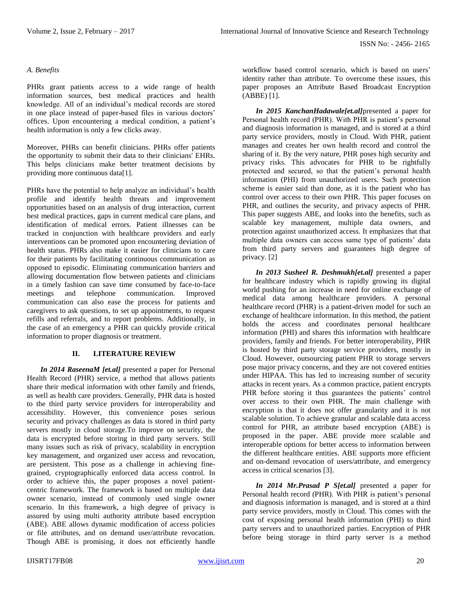### *A. Benefits*

PHRs grant patients access to a wide range of health information sources, best medical practices and health knowledge. All of an individual's medical records are stored in one place instead of paper-based files in various doctors' offices. Upon encountering a medical condition, a patient's health information is only a few clicks away.

Moreover, PHRs can benefit clinicians. PHRs offer patients the opportunity to submit their data to their clinicians' EHRs. This helps clinicians make better treatment decisions by providing more continuous data[1].

PHRs have the potential to help analyze an individual's health profile and identify health threats and improvement opportunities based on an analysis of drug interaction, current best medical practices, gaps in current medical care plans, and identification of medical errors. Patient illnesses can be tracked in conjunction with healthcare providers and early interventions can be promoted upon encountering deviation of health status. PHRs also make it easier for clinicians to care for their patients by facilitating continuous communication as opposed to episodic. Eliminating communication barriers and allowing documentation flow between patients and clinicians in a timely fashion can save time consumed by face-to-face meetings and telephone communication. Improved communication can also ease the process for patients and caregivers to ask questions, to set up appointments, to request refills and referrals, and to report problems. Additionally, in the case of an emergency a PHR can quickly provide critical information to proper diagnosis or treatment.

# **II. LITERATURE REVIEW**

*In 2014 RaseenaM [et.al]* presented a paper for Personal Health Record (PHR) service, a method that allows patients share their medical information with other family and friends, as well as health care providers. Generally, PHR data is hosted to the third party service providers for interoperability and accessibility. However, this convenience poses serious security and privacy challenges as data is stored in third party servers mostly in cloud storage.To improve on security, the data is encrypted before storing in third party servers. Still many issues such as risk of privacy, scalability in encryption key management, and organized user access and revocation, are persistent. This pose as a challenge in achieving finegrained, cryptographically enforced data access control. In order to achieve this, the paper proposes a novel patientcentric framework. The framework is based on multiple data owner scenario, instead of commonly used single owner scenario. In this framework, a high degree of privacy is assured by using multi authority attribute based encryption (ABE). ABE allows dynamic modification of access policies or file attributes, and on demand user/attribute revocation. Though ABE is promising, it does not efficiently handle

workflow based control scenario, which is based on users' identity rather than attribute. To overcome these issues, this paper proposes an Attribute Based Broadcast Encryption (ABBE) [1].

*In 2015 KanchanHadawale[et.al]*presented a paper for Personal health record (PHR). With PHR is patient's personal and diagnosis information is managed, and is stored at a third party service providers, mostly in Cloud. With PHR, patient manages and creates her own health record and control the sharing of it. By the very nature, PHR poses high security and privacy risks. This advocates for PHR to be rightfully protected and secured, so that the patient's personal health information (PHI) from unauthorized users. Such protection scheme is easier said than done, as it is the patient who has control over access to their own PHR. This paper focuses on PHR, and outlines the security, and privacy aspects of PHR. This paper suggests ABE, and looks into the benefits, such as scalable key management, multiple data owners, and protection against unauthorized access. It emphasizes that that multiple data owners can access same type of patients' data from third party servers and guarantees high degree of privacy. [2]

*In 2013 Susheel R. Deshmukh[et.al]* presented a paper for healthcare industry which is rapidly growing its digital world pushing for an increase in need for online exchange of medical data among healthcare providers. A personal healthcare record (PHR) is a patient-driven model for such an exchange of healthcare information. In this method, the patient holds the access and coordinates personal healthcare information (PHI) and shares this information with healthcare providers, family and friends. For better interoperability, PHR is hosted by third party storage service providers, mostly in Cloud. However, outsourcing patient PHR to storage servers pose major privacy concerns, and they are not covered entities under HIPAA. This has led to increasing number of security attacks in recent years. As a common practice, patient encrypts PHR before storing it thus guarantees the patients' control over access to their own PHR. The main challenge with encryption is that it does not offer granularity and it is not scalable solution. To achieve granular and scalable data access control for PHR, an attribute based encryption (ABE) is proposed in the paper. ABE provide more scalable and interoperable options for better access to information between the different healthcare entities. ABE supports more efficient and on-demand revocation of users/attribute, and emergency access in critical scenarios [3].

*In 2014 Mr.Prasad P S[et.al]* presented a paper for Personal health record (PHR). With PHR is patient's personal and diagnosis information is managed, and is stored at a third party service providers, mostly in Cloud. This comes with the cost of exposing personal health information (PHI) to third party servers and to unauthorized parties. Encryption of PHR before being storage in third party server is a method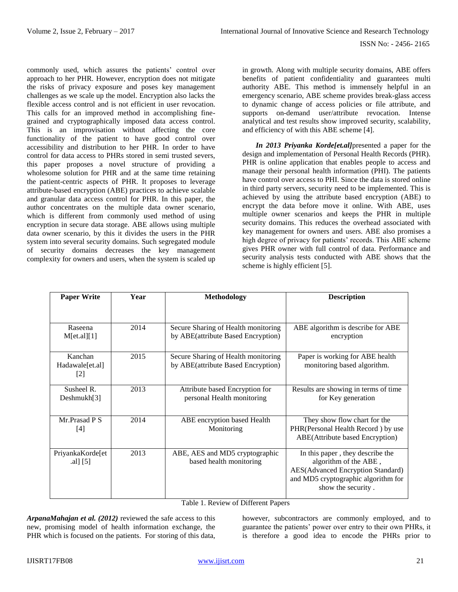commonly used, which assures the patients' control over approach to her PHR. However, encryption does not mitigate the risks of privacy exposure and poses key management challenges as we scale up the model. Encryption also lacks the flexible access control and is not efficient in user revocation. This calls for an improved method in accomplishing finegrained and cryptographically imposed data access control. This is an improvisation without affecting the core functionality of the patient to have good control over accessibility and distribution to her PHR. In order to have control for data access to PHRs stored in semi trusted severs, this paper proposes a novel structure of providing a wholesome solution for PHR and at the same time retaining the patient-centric aspects of PHR. It proposes to leverage attribute-based encryption (ABE) practices to achieve scalable and granular data access control for PHR. In this paper, the author concentrates on the multiple data owner scenario, which is different from commonly used method of using encryption in secure data storage. ABE allows using multiple data owner scenario, by this it divides the users in the PHR system into several security domains. Such segregated module of security domains decreases the key management complexity for owners and users, when the system is scaled up in growth. Along with multiple security domains, ABE offers benefits of patient confidentiality and guarantees multi authority ABE. This method is immensely helpful in an emergency scenario, ABE scheme provides break-glass access to dynamic change of access policies or file attribute, and supports on-demand user/attribute revocation. Intense analytical and test results show improved security, scalability, and efficiency of with this ABE scheme [4].

*In 2013 Priyanka Korde[et.al]*presented a paper for the design and implementation of Personal Health Records (PHR). PHR is online application that enables people to access and manage their personal health information (PHI). The patients have control over access to PHI. Since the data is stored online in third party servers, security need to be implemented. This is achieved by using the attribute based encryption (ABE) to encrypt the data before move it online. With ABE, uses multiple owner scenarios and keeps the PHR in multiple security domains. This reduces the overhead associated with key management for owners and users. ABE also promises a high degree of privacy for patients' records. This ABE scheme gives PHR owner with full control of data. Performance and security analysis tests conducted with ABE shows that the scheme is highly efficient [5].

| <b>Paper Write</b>                              | Year | <b>Methodology</b>                                                        | <b>Description</b>                                                                                                                                          |
|-------------------------------------------------|------|---------------------------------------------------------------------------|-------------------------------------------------------------------------------------------------------------------------------------------------------------|
|                                                 |      |                                                                           |                                                                                                                                                             |
| Raseena<br>M[et.a][1]                           | 2014 | Secure Sharing of Health monitoring<br>by ABE(attribute Based Encryption) | ABE algorithm is describe for ABE<br>encryption                                                                                                             |
| Kanchan<br>Hadawale[et.al]<br>$\lceil 2 \rceil$ | 2015 | Secure Sharing of Health monitoring<br>by ABE(attribute Based Encryption) | Paper is working for ABE health<br>monitoring based algorithm.                                                                                              |
| Susheel R.<br>Deshmukh[3]                       | 2013 | Attribute based Encryption for<br>personal Health monitoring              | Results are showing in terms of time<br>for Key generation                                                                                                  |
| Mr.Prasad P S<br>$[4]$                          | 2014 | ABE encryption based Health<br>Monitoring                                 | They show flow chart for the<br>PHR(Personal Health Record) by use<br>ABE(Attribute based Encryption)                                                       |
| PriyankaKorde[et<br>.al] $[5]$                  | 2013 | ABE, AES and MD5 cryptographic<br>based health monitoring                 | In this paper, they describe the<br>algorithm of the ABE,<br>AES(Advanced Encryption Standard)<br>and MD5 cryptographic algorithm for<br>show the security. |

Table 1. Review of Different Papers

*ArpanaMahajan et al. (2012)* reviewed the safe access to this new, promising model of health information exchange, the PHR which is focused on the patients. For storing of this data,

however, subcontractors are commonly employed, and to guarantee the patients' power over entry to their own PHRs, it is therefore a good idea to encode the PHRs prior to